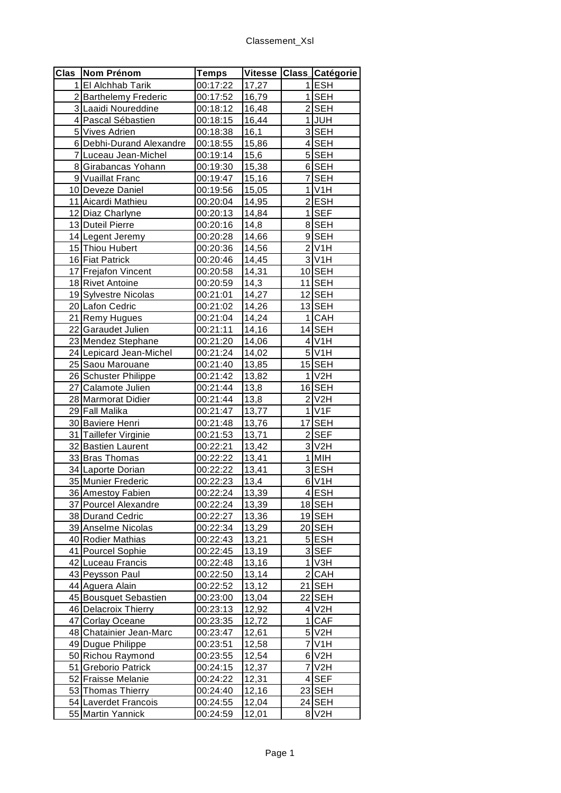| Clas Nom Prénom          | <b>Temps</b> |       |                | Vitesse Class_Catégorie |
|--------------------------|--------------|-------|----------------|-------------------------|
| 1 El Alchhab Tarik       | 00:17:22     | 17,27 |                | $1$ ESH                 |
| 2 Barthelemy Frederic    | 00:17:52     | 16,79 |                | $1$ SEH                 |
| 3 Laaidi Noureddine      | 00:18:12     | 16,48 |                | 2SEH                    |
| 4 Pascal Sébastien       | 00:18:15     | 16,44 | 11             | <b>JUH</b>              |
| 5 Vives Adrien           | 00:18:38     | 16,1  |                | 3SEH                    |
| 6 Debhi-Durand Alexandre | 00:18:55     | 15,86 |                | 4SEH                    |
| 7 Luceau Jean-Michel     | 00:19:14     | 15,6  |                | 5SEH                    |
| 8 Girabancas Yohann      | 00:19:30     | 15,38 |                | 6SEH                    |
| 9 Vuaillat Franc         | 00:19:47     | 15,16 |                | 7 SEH                   |
| 10 Deveze Daniel         | 00:19:56     | 15,05 |                | $1$ V <sub>1</sub> H    |
| 11 Aicardi Mathieu       | 00:20:04     | 14,95 |                | $2$ ESH                 |
| 12 Diaz Charlyne         | 00:20:13     | 14,84 | 1 <sup>1</sup> | <b>SEF</b>              |
| 13 Duteil Pierre         | 00:20:16     | 14,8  |                | 8SEH                    |
| 14 Legent Jeremy         | 00:20:28     | 14,66 |                | 9SEH                    |
| 15 Thiou Hubert          | 00:20:36     | 14,56 |                | $2$ V <sub>1</sub> H    |
| 16 Fiat Patrick          | 00:20:46     | 14,45 |                | $3$ V <sub>1</sub> H    |
| 17 Frejafon Vincent      | 00:20:58     | 14,31 |                | 10 SEH                  |
| 18 Rivet Antoine         | 00:20:59     | 14,3  |                | 11 SEH                  |
| 19 Sylvestre Nicolas     | 00:21:01     | 14,27 |                | 12 SEH                  |
| 20 Lafon Cedric          | 00:21:02     | 14,26 |                | 13 SEH                  |
| 21 Remy Hugues           | 00:21:04     | 14,24 |                | 1 CAH                   |
| 22 Garaudet Julien       | 00:21:11     | 14,16 |                | 14 SEH                  |
| 23 Mendez Stephane       | 00:21:20     | 14,06 |                | 4 V1H                   |
| 24 Lepicard Jean-Michel  | 00:21:24     | 14,02 |                | $5$ V <sub>1</sub> H    |
| 25 Saou Marouane         | 00:21:40     | 13,85 |                | 15 SEH                  |
| 26 Schuster Philippe     | 00:21:42     | 13,82 |                | $1$ V <sub>2</sub> H    |
| 27 Calamote Julien       | 00:21:44     | 13,8  |                | 16 SEH                  |
| 28 Marmorat Didier       | 00:21:44     | 13,8  |                | $2$ V <sub>2</sub> H    |
| 29 Fall Malika           | 00:21:47     | 13,77 |                | $1$ V <sub>1</sub> $F$  |
| 30 Baviere Henri         | 00:21:48     | 13,76 |                | 17 SEH                  |
| 31 Taillefer Virginie    | 00:21:53     | 13,71 |                | $2$ SEF                 |
| 32 Bastien Laurent       | 00:22:21     | 13,42 |                | $3$ V <sub>2</sub> H    |
| 33 Bras Thomas           | 00:22:22     | 13,41 |                | 1 MIH                   |
| 34 Laporte Dorian        | 00:22:22     | 13,41 |                | $3$ ESH                 |
| 35 Munier Frederic       | 00:22:23     | 13,4  |                | $6$ V <sub>1</sub> H    |
| 36 Amestoy Fabien        | 00:22:24     | 13,39 |                | $4$ ESH                 |
| 37 Pourcel Alexandre     | 00:22:24     | 13,39 |                | 18 SEH                  |
| 38 Durand Cedric         | 00:22:27     | 13,36 |                | 19 SEH                  |
| 39 Anselme Nicolas       | 00:22:34     | 13,29 |                | 20 SEH                  |
| 40 Rodier Mathias        | 00:22:43     | 13,21 |                | 5ESH                    |
| 41 Pourcel Sophie        | 00:22:45     | 13,19 |                | 3SEF                    |
| 42 Luceau Francis        | 00:22:48     | 13,16 |                | $1$ V3H                 |
| 43 Peysson Paul          | 00:22:50     | 13,14 |                | 2 CAH                   |
| 44 Aguera Alain          | 00:22:52     | 13,12 |                | 21 SEH                  |
| 45 Bousquet Sebastien    | 00:23:00     | 13,04 |                | 22 SEH                  |
| 46 Delacroix Thierry     | 00:23:13     | 12,92 |                | 4 V2H                   |
| 47 Corlay Oceane         | 00:23:35     | 12,72 |                | 1 CAF                   |
| 48 Chatainier Jean-Marc  | 00:23:47     | 12,61 |                | 5 V2H                   |
| 49 Dugue Philippe        | 00:23:51     | 12,58 |                | $7$ V <sub>1</sub> H    |
| 50 Richou Raymond        | 00:23:55     | 12,54 |                | $6$ V <sub>2</sub> H    |
| 51 Greborio Patrick      | 00:24:15     | 12,37 |                | 7 V2H                   |
| 52 Fraisse Melanie       | 00:24:22     | 12,31 |                | $4$ SEF                 |
| 53 Thomas Thierry        | 00:24:40     | 12,16 |                | 23 SEH                  |
| 54 Laverdet Francois     | 00:24:55     | 12,04 |                | 24 SEH                  |
| 55 Martin Yannick        | 00:24:59     | 12,01 |                | 8 V2H                   |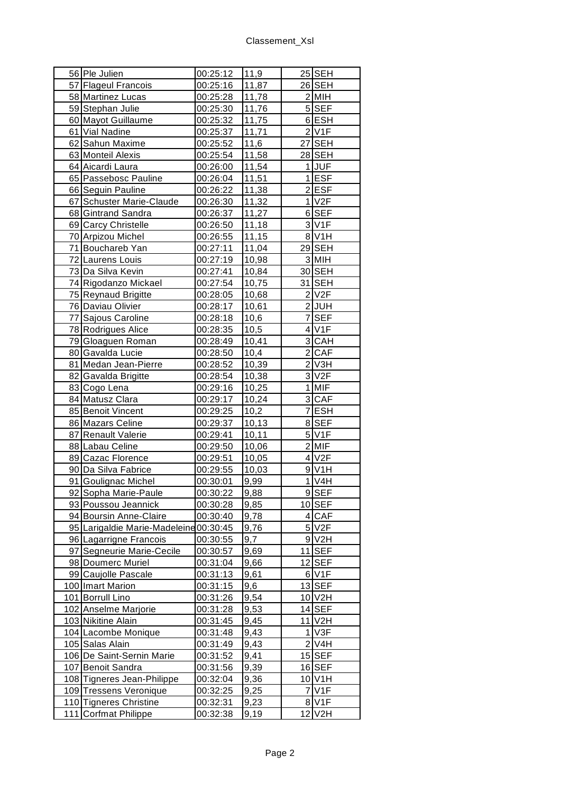| 56 Ple Julien                                                    | 00:25:12 | 11,9  |    | 25 SEH                      |
|------------------------------------------------------------------|----------|-------|----|-----------------------------|
| 57 Flageul Francois                                              | 00:25:16 | 11,87 |    | 26 SEH                      |
| 58 Martinez Lucas                                                | 00:25:28 | 11,78 |    | 2 MIH                       |
| 59 Stephan Julie                                                 | 00:25:30 | 11,76 |    | 5 SEF                       |
| 60 Mayot Guillaume                                               | 00:25:32 | 11,75 |    | 6ESH                        |
| 61 Vial Nadine                                                   | 00:25:37 | 11,71 |    | $2$ V <sub>1</sub> F        |
| 62 Sahun Maxime                                                  | 00:25:52 | 11,6  |    | 27 SEH                      |
| 63 Monteil Alexis                                                | 00:25:54 | 11,58 |    | 28 SEH                      |
| 64 Aicardi Laura                                                 | 00:26:00 | 11,54 |    | 1JUF                        |
| 65 Passebosc Pauline                                             | 00:26:04 | 11,51 |    | 1ESF                        |
| 66 Seguin Pauline                                                | 00:26:22 | 11,38 |    | 2ESF                        |
| 67 Schuster Marie-Claude                                         | 00:26:30 | 11,32 |    | $1$ V <sub>2</sub> F        |
| 68 Gintrand Sandra                                               | 00:26:37 | 11,27 |    | 6 SEF                       |
| 69 Carcy Christelle                                              | 00:26:50 | 11,18 |    | 3 V <sub>1</sub> F          |
| 70 Arpizou Michel                                                | 00:26:55 | 11,15 |    | 8 V1H                       |
| 71 Bouchareb Yan                                                 | 00:27:11 | 11,04 |    | 29 SEH                      |
| 72 Laurens Louis                                                 | 00:27:19 | 10,98 |    | 3 MIH                       |
| 73 Da Silva Kevin                                                | 00:27:41 | 10,84 |    | 30 SEH                      |
| 74 Rigodanzo Mickael                                             | 00:27:54 | 10,75 |    | 31 SEH                      |
| 75 Reynaud Brigitte                                              | 00:28:05 | 10,68 |    | $2$ V <sub>2</sub> F        |
| 76 Daviau Olivier                                                | 00:28:17 | 10,61 |    | $2$ JUH                     |
| 77 Sajous Caroline                                               | 00:28:18 | 10,6  |    | 7 SEF                       |
| 78 Rodrigues Alice                                               | 00:28:35 | 10,5  |    | $4$ V <sub>1</sub> F        |
| 79 Gloaguen Roman                                                | 00:28:49 | 10,41 |    | 3 CAH                       |
| 80 Gavalda Lucie                                                 | 00:28:50 | 10,4  |    | 2 CAF                       |
| 81 Medan Jean-Pierre                                             | 00:28:52 | 10,39 |    | $2$ V <sub>3</sub> H        |
| 82 Gavalda Brigitte                                              | 00:28:54 | 10,38 |    | 3 V <sub>2</sub> F          |
| 83 Cogo Lena                                                     | 00:29:16 | 10,25 |    | 1 MIF                       |
| 84 Matusz Clara                                                  | 00:29:17 | 10,24 |    | 3 CAF                       |
| 85 Benoit Vincent                                                | 00:29:25 | 10,2  |    | 7ESH                        |
| 86 Mazars Celine                                                 | 00:29:37 | 10,13 |    | 8SEF                        |
| 87 Renault Valerie                                               | 00:29:41 | 10,11 |    | 5 V1F                       |
| 88 Labau Celine                                                  | 00:29:50 | 10,06 |    | $2$ MIF                     |
| 89 Cazac Florence                                                | 00:29:51 | 10,05 |    | $4$ V <sub>2</sub> F        |
| 90 Da Silva Fabrice                                              | 00:29:55 | 10,03 |    | $9$ V <sub>1</sub> H        |
| 91 Goulignac Michel                                              | 00:30:01 | 9,99  |    | $1$ V <sub>4</sub> H        |
| 92 Sopha Marie-Paule                                             | 00:30:22 | 9,88  |    | 9SEF                        |
|                                                                  |          |       |    |                             |
| 93 Poussou Jeannick                                              | 00:30:28 | 9,85  |    | 10 SEF                      |
| 94 Boursin Anne-Claire<br>95 Larigaldie Marie-Madeleine 00:30:45 | 00:30:40 | 9,78  |    | 4 CAF<br>5 V <sub>2</sub> F |
|                                                                  | 00:30:55 | 9,76  |    | $9$ V <sub>2</sub> H        |
| 96 Lagarrigne Francois                                           |          | 9,7   |    |                             |
| 97 Segneurie Marie-Cecile                                        | 00:30:57 | 9,69  |    | 11 SEF                      |
| 98 Doumerc Muriel                                                | 00:31:04 | 9,66  |    | 12 SEF                      |
| 99 Caujolle Pascale                                              | 00:31:13 | 9,61  |    | 6 V1F                       |
| 100 Imart Marion                                                 | 00:31:15 | 9,6   |    | 13SEF                       |
| 101 Borrull Lino                                                 | 00:31:26 | 9,54  |    | 10 V2H                      |
| 102 Anselme Marjorie                                             | 00:31:28 | 9,53  |    | 14 SEF                      |
| 103 Nikitine Alain                                               | 00:31:45 | 9,45  |    | 11 V2H                      |
| 104 Lacombe Monique                                              | 00:31:48 | 9,43  | 11 | V3F                         |
| 105 Salas Alain                                                  | 00:31:49 | 9,43  |    | 2 V4H                       |
| 106 De Saint-Sernin Marie                                        | 00:31:52 | 9,41  |    | $15$ SEF                    |
| 107 Benoit Sandra                                                | 00:31:56 | 9,39  |    | 16 SEF                      |
| 108 Tigneres Jean-Philippe                                       | 00:32:04 | 9,36  |    | 10 V1H                      |
| 109 Tressens Veronique                                           | 00:32:25 | 9,25  |    | $7$ V <sub>1</sub> $F$      |
| 110 Tigneres Christine                                           | 00:32:31 | 9,23  |    | 8 V <sub>1</sub> F          |
| 111 Corfmat Philippe                                             | 00:32:38 | 9,19  |    | 12 V2H                      |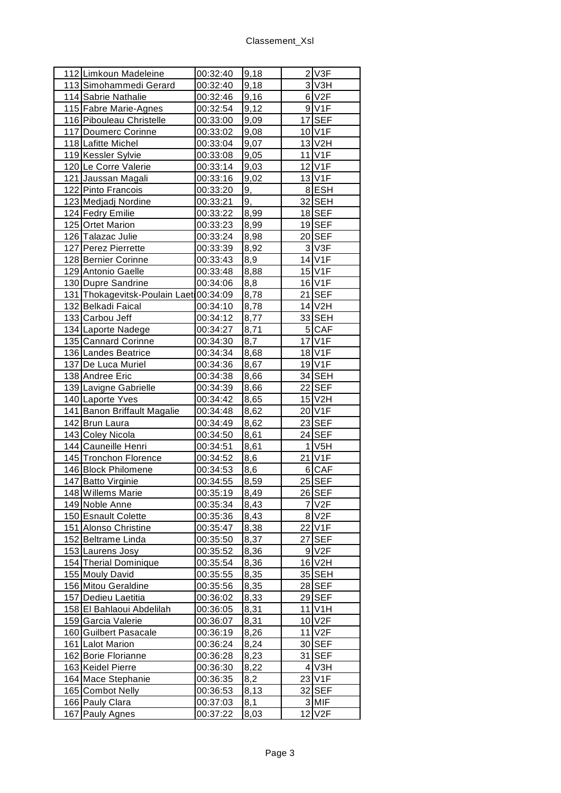| 112 Limkoun Madeleine                  | 00:32:40 | 9,18 | 2 V3F                |
|----------------------------------------|----------|------|----------------------|
| 113 Simohammedi Gerard                 | 00:32:40 | 9,18 | 3 V3H                |
| 114 Sabrie Nathalie                    | 00:32:46 | 9,16 | 6 V <sub>2F</sub>    |
| 115 Fabre Marie-Agnes                  | 00:32:54 | 9,12 | 9 V1F                |
| 116 Pibouleau Christelle               | 00:33:00 | 9,09 | 17 SEF               |
| 117 Doumerc Corinne                    | 00:33:02 | 9,08 | 10 V1F               |
| 118 Lafitte Michel                     | 00:33:04 | 9,07 | 13 V2H               |
| 119 Kessler Sylvie                     | 00:33:08 | 9,05 | 11 V1F               |
| 120 Le Corre Valerie                   | 00:33:14 | 9,03 | 12 V1F               |
| 121 Jaussan Magali                     | 00:33:16 | 9,02 | 13 V1F               |
| 122 Pinto Francois                     | 00:33:20 | 9,   | 8ESH                 |
| 123 Medjadj Nordine                    | 00:33:21 | 9,   | 32 SEH               |
| 124 Fedry Emilie                       | 00:33:22 | 8,99 | 18 SEF               |
| 125 Ortet Marion                       | 00:33:23 | 8,99 | 19SEF                |
| 126 Talazac Julie                      | 00:33:24 | 8,98 | 20 SEF               |
| 127 Perez Pierrette                    | 00:33:39 | 8,92 | $3$ V <sub>3</sub> F |
| 128 Bernier Corinne                    | 00:33:43 | 8,9  | 14 V1F               |
| 129 Antonio Gaelle                     | 00:33:48 | 8,88 | 15 V1F               |
| 130 Dupre Sandrine                     | 00:34:06 | 8,8  | 16 V1F               |
| 131 Thokagevitsk-Poulain Laet 00:34:09 |          | 8,78 | 21 SEF               |
| 132 Belkadi Faical                     | 00:34:10 | 8,78 | 14 V2H               |
| 133 Carbou Jeff                        | 00:34:12 | 8,77 | 33 SEH               |
| 134 Laporte Nadege                     | 00:34:27 | 8,71 | 5 CAF                |
| 135 Cannard Corinne                    | 00:34:30 | 8,7  | 17 V1F               |
| 136 Landes Beatrice                    | 00:34:34 | 8,68 | 18 V1F               |
| 137 De Luca Muriel                     | 00:34:36 | 8,67 | 19 V1F               |
| 138 Andree Eric                        | 00:34:38 | 8,66 | 34 SEH               |
| 139 Lavigne Gabrielle                  | 00:34:39 | 8,66 | 22 SEF               |
| 140 Laporte Yves                       | 00:34:42 | 8,65 | 15 V2H               |
| 141 Banon Briffault Magalie            | 00:34:48 | 8,62 | 20 V1F               |
| 142 Brun Laura                         | 00:34:49 | 8,62 | 23 SEF               |
| 143 Coley Nicola                       | 00:34:50 | 8,61 | 24 SEF               |
| 144 Cauneille Henri                    | 00:34:51 | 8,61 | $1$ V <sub>5</sub> H |
| 145 Tronchon Florence                  | 00:34:52 | 8,6  | 21 V1F               |
| 146 Block Philomene                    | 00:34:53 | 8,6  | 6 CAF                |
| 147 Batto Virginie                     | 00:34:55 | 8,59 | 25 SEF               |
| 148 Willems Marie                      | 00:35:19 | 8,49 | 26 SEF               |
| 149 Noble Anne                         | 00:35:34 | 8,43 | 7V2F                 |
| 150 Esnault Colette                    | 00:35:36 | 8,43 | 8 V2F                |
| 151 Alonso Christine                   | 00:35:47 | 8,38 | 22 V1F               |
| 152 Beltrame Linda                     | 00:35:50 | 8,37 | 27 SEF               |
| 153 Laurens Josy                       | 00:35:52 | 8,36 | 9 V <sub>2</sub> F   |
| 154 Therial Dominique                  | 00:35:54 | 8,36 | 16 V2H               |
| 155 Mouly David                        | 00:35:55 | 8,35 | 35 SEH               |
| 156 Mitou Geraldine                    | 00:35:56 | 8,35 | 28 SEF               |
| 157 Dedieu Laetitia                    | 00:36:02 | 8,33 | 29 SEF               |
| 158 El Bahlaoui Abdelilah              | 00:36:05 | 8,31 | 11 V1H               |
| 159 Garcia Valerie                     | 00:36:07 | 8,31 | 10 V2F               |
| 160 Guilbert Pasacale                  | 00:36:19 | 8,26 | 11 V2F               |
| 161 Lalot Marion                       | 00:36:24 | 8,24 | 30 SEF               |
| 162 Borie Florianne                    | 00:36:28 | 8,23 | 31 SEF               |
| 163 Keidel Pierre                      | 00:36:30 | 8,22 | 4 V3H                |
| 164 Mace Stephanie                     | 00:36:35 | 8,2  | 23 V1F               |
| 165 Combot Nelly                       | 00:36:53 | 8,13 | 32 SEF               |
| 166 Pauly Clara                        | 00:37:03 | 8,1  | 3 MIF                |
| 167 Pauly Agnes                        | 00:37:22 | 8,03 | 12 V2F               |